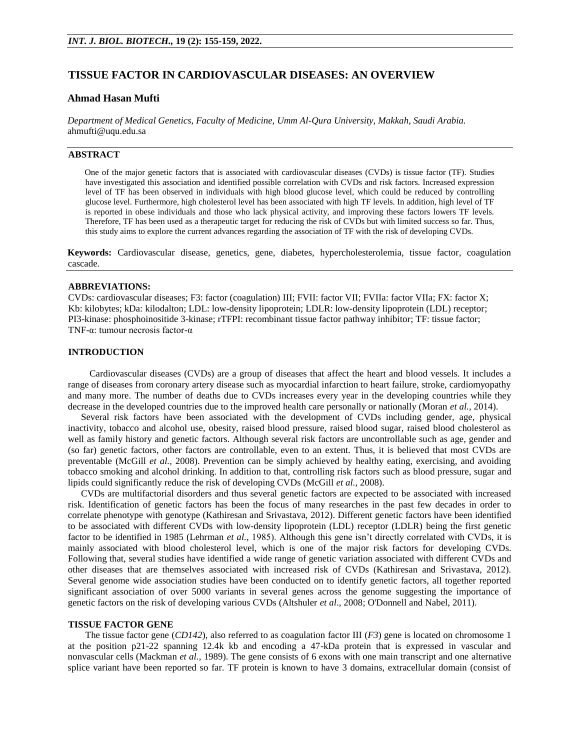## **TISSUE FACTOR IN CARDIOVASCULAR DISEASES: AN OVERVIEW**

## **Ahmad Hasan Mufti**

*Department of Medical Genetics, Faculty of Medicine, Umm Al-Qura University, Makkah, Saudi Arabia.* ahmufti@uqu.edu.sa

# **ABSTRACT**

One of the major genetic factors that is associated with cardiovascular diseases (CVDs) is tissue factor (TF). Studies have investigated this association and identified possible correlation with CVDs and risk factors. Increased expression level of TF has been observed in individuals with high blood glucose level, which could be reduced by controlling glucose level. Furthermore, high cholesterol level has been associated with high TF levels. In addition, high level of TF is reported in obese individuals and those who lack physical activity, and improving these factors lowers TF levels. Therefore, TF has been used as a therapeutic target for reducing the risk of CVDs but with limited success so far. Thus, this study aims to explore the current advances regarding the association of TF with the risk of developing CVDs.

**Keywords:** Cardiovascular disease, genetics, gene, diabetes, hypercholesterolemia, tissue factor, coagulation cascade.

#### **ABBREVIATIONS:**

CVDs: cardiovascular diseases; F3: factor (coagulation) III; FVII: factor VII; FVIIa: factor VIIa; FX: factor X; Kb: kilobytes; kDa: kilodalton; LDL: low-density lipoprotein; LDLR: low-density lipoprotein (LDL) receptor; PI3-kinase: phosphoinositide 3-kinase; rTFPI: recombinant tissue factor pathway inhibitor; TF: tissue factor; TNF-α: tumour necrosis factor-α

## **INTRODUCTION**

Cardiovascular diseases (CVDs) are a group of diseases that affect the heart and blood vessels. It includes a range of diseases from coronary artery disease such as myocardial infarction to heart failure, stroke, cardiomyopathy and many more. The number of deaths due to CVDs increases every year in the developing countries while they decrease in the developed countries due to the improved health care personally or nationally (Moran *et al.,* 2014).

Several risk factors have been associated with the development of CVDs including gender, age, physical inactivity, tobacco and alcohol use, obesity, raised blood pressure, raised blood sugar, raised blood cholesterol as well as family history and genetic factors. Although several risk factors are uncontrollable such as age, gender and (so far) genetic factors, other factors are controllable, even to an extent. Thus, it is believed that most CVDs are preventable (McGill *et al.,* 2008). Prevention can be simply achieved by healthy eating, exercising, and avoiding tobacco smoking and alcohol drinking. In addition to that, controlling risk factors such as blood pressure, sugar and lipids could significantly reduce the risk of developing CVDs (McGill *et al.*, 2008).

CVDs are multifactorial disorders and thus several genetic factors are expected to be associated with increased risk. Identification of genetic factors has been the focus of many researches in the past few decades in order to correlate phenotype with genotype (Kathiresan and Srivastava, 2012). Different genetic factors have been identified to be associated with different CVDs with low-density lipoprotein (LDL) receptor (LDLR) being the first genetic factor to be identified in 1985 (Lehrman *et al.,* 1985). Although this gene isn't directly correlated with CVDs, it is mainly associated with blood cholesterol level, which is one of the major risk factors for developing CVDs. Following that, several studies have identified a wide range of genetic variation associated with different CVDs and other diseases that are themselves associated with increased risk of CVDs (Kathiresan and Srivastava, 2012). Several genome wide association studies have been conducted on to identify genetic factors, all together reported significant association of over 5000 variants in several genes across the genome suggesting the importance of genetic factors on the risk of developing various CVDs (Altshuler *et al*., 2008; O'Donnell and Nabel, 2011).

## **TISSUE FACTOR GENE**

The tissue factor gene (*CD142*), also referred to as coagulation factor III (*F3*) gene is located on chromosome 1 at the position p21-22 spanning 12.4k kb and encoding a 47-kDa protein that is expressed in vascular and nonvascular cells (Mackman *et al.,* 1989). The gene consists of 6 exons with one main transcript and one alternative splice variant have been reported so far. TF protein is known to have 3 domains, extracellular domain (consist of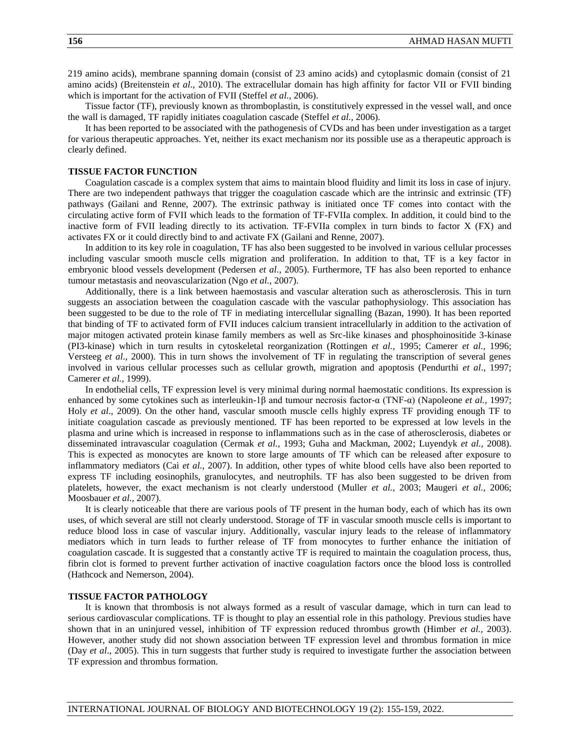219 amino acids), membrane spanning domain (consist of 23 amino acids) and cytoplasmic domain (consist of 21 amino acids) (Breitenstein *et al*., 2010). The extracellular domain has high affinity for factor VII or FVII binding which is important for the activation of FVII (Steffel *et al.,* 2006).

Tissue factor (TF), previously known as thromboplastin, is constitutively expressed in the vessel wall, and once the wall is damaged, TF rapidly initiates coagulation cascade (Steffel *et al.,* 2006).

It has been reported to be associated with the pathogenesis of CVDs and has been under investigation as a target for various therapeutic approaches. Yet, neither its exact mechanism nor its possible use as a therapeutic approach is clearly defined.

#### **TISSUE FACTOR FUNCTION**

Coagulation cascade is a complex system that aims to maintain blood fluidity and limit its loss in case of injury. There are two independent pathways that trigger the coagulation cascade which are the intrinsic and extrinsic (TF) pathways (Gailani and Renne, 2007). The extrinsic pathway is initiated once TF comes into contact with the circulating active form of FVII which leads to the formation of TF-FVIIa complex. In addition, it could bind to the inactive form of FVII leading directly to its activation. TF-FVIIa complex in turn binds to factor X (FX) and activates FX or it could directly bind to and activate FX (Gailani and Renne, 2007).

In addition to its key role in coagulation, TF has also been suggested to be involved in various cellular processes including vascular smooth muscle cells migration and proliferation. In addition to that, TF is a key factor in embryonic blood vessels development (Pedersen *et al.,* 2005). Furthermore, TF has also been reported to enhance tumour metastasis and neovascularization (Ngo *et al.,* 2007).

Additionally, there is a link between haemostasis and vascular alteration such as atherosclerosis. This in turn suggests an association between the coagulation cascade with the vascular pathophysiology. This association has been suggested to be due to the role of TF in mediating intercellular signalling (Bazan, 1990). It has been reported that binding of TF to activated form of FVII induces calcium transient intracellularly in addition to the activation of major mitogen activated protein kinase family members as well as Src-like kinases and phosphoinositide 3-kinase (PI3-kinase) which in turn results in cytoskeletal reorganization (Rottingen *et al.,* 1995; Camerer *et al.,* 1996; Versteeg *et al*., 2000). This in turn shows the involvement of TF in regulating the transcription of several genes involved in various cellular processes such as cellular growth, migration and apoptosis (Pendurthi *et al*., 1997; Camerer *et al.,* 1999).

In endothelial cells, TF expression level is very minimal during normal haemostatic conditions. Its expression is enhanced by some cytokines such as interleukin-1β and tumour necrosis factor-α (TNF-α) (Napoleone *et al.,* 1997; Holy *et al*., 2009). On the other hand, vascular smooth muscle cells highly express TF providing enough TF to initiate coagulation cascade as previously mentioned. TF has been reported to be expressed at low levels in the plasma and urine which is increased in response to inflammations such as in the case of atherosclerosis, diabetes or disseminated intravascular coagulation (Cermak *et al.,* 1993; Guha and Mackman, 2002; Luyendyk *et al.,* 2008). This is expected as monocytes are known to store large amounts of TF which can be released after exposure to inflammatory mediators (Cai *et al.,* 2007). In addition, other types of white blood cells have also been reported to express TF including eosinophils, granulocytes, and neutrophils. TF has also been suggested to be driven from platelets, however, the exact mechanism is not clearly understood (Muller *et al.,* 2003; Maugeri *et al.,* 2006; Moosbauer *et al.,* 2007).

It is clearly noticeable that there are various pools of TF present in the human body, each of which has its own uses, of which several are still not clearly understood. Storage of TF in vascular smooth muscle cells is important to reduce blood loss in case of vascular injury. Additionally, vascular injury leads to the release of inflammatory mediators which in turn leads to further release of TF from monocytes to further enhance the initiation of coagulation cascade. It is suggested that a constantly active TF is required to maintain the coagulation process, thus, fibrin clot is formed to prevent further activation of inactive coagulation factors once the blood loss is controlled (Hathcock and Nemerson, 2004).

### **TISSUE FACTOR PATHOLOGY**

It is known that thrombosis is not always formed as a result of vascular damage, which in turn can lead to serious cardiovascular complications. TF is thought to play an essential role in this pathology. Previous studies have shown that in an uninjured vessel, inhibition of TF expression reduced thrombus growth (Himber *et al.,* 2003). However, another study did not shown association between TF expression level and thrombus formation in mice (Day *et al*., 2005). This in turn suggests that further study is required to investigate further the association between TF expression and thrombus formation.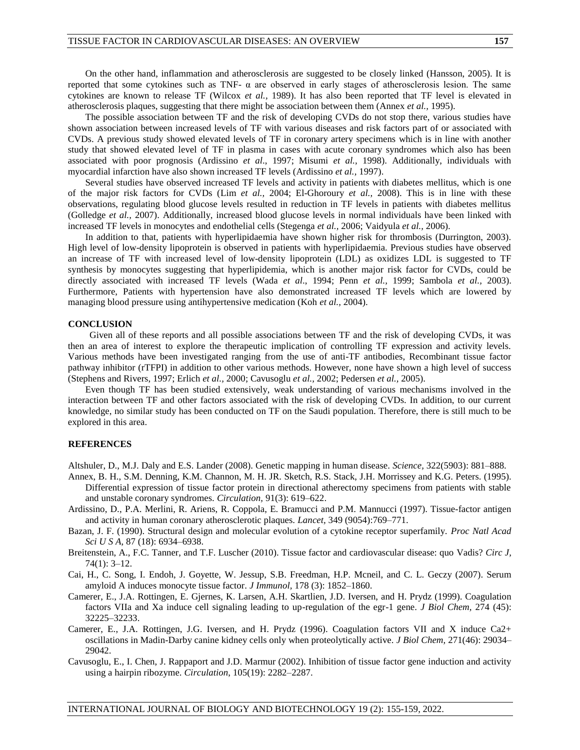On the other hand, inflammation and atherosclerosis are suggested to be closely linked (Hansson, 2005). It is reported that some cytokines such as TNF- α are observed in early stages of atherosclerosis lesion. The same cytokines are known to release TF (Wilcox *et al.,* 1989). It has also been reported that TF level is elevated in atherosclerosis plaques, suggesting that there might be association between them (Annex *et al.,* 1995).

The possible association between TF and the risk of developing CVDs do not stop there, various studies have shown association between increased levels of TF with various diseases and risk factors part of or associated with CVDs. A previous study showed elevated levels of TF in coronary artery specimens which is in line with another study that showed elevated level of TF in plasma in cases with acute coronary syndromes which also has been associated with poor prognosis (Ardissino *et al*., 1997; Misumi *et al.,* 1998). Additionally, individuals with myocardial infarction have also shown increased TF levels (Ardissino *et al.,* 1997).

Several studies have observed increased TF levels and activity in patients with diabetes mellitus, which is one of the major risk factors for CVDs (Lim *et al.,* 2004; El-Ghoroury *et al.,* 2008). This is in line with these observations, regulating blood glucose levels resulted in reduction in TF levels in patients with diabetes mellitus (Golledge *et al.,* 2007). Additionally, increased blood glucose levels in normal individuals have been linked with increased TF levels in monocytes and endothelial cells (Stegenga *et al.,* 2006; Vaidyula *et al.,* 2006).

In addition to that, patients with hyperlipidaemia have shown higher risk for thrombosis (Durrington, 2003). High level of low-density lipoprotein is observed in patients with hyperlipidaemia. Previous studies have observed an increase of TF with increased level of low-density lipoprotein (LDL) as oxidizes LDL is suggested to TF synthesis by monocytes suggesting that hyperlipidemia, which is another major risk factor for CVDs, could be directly associated with increased TF levels (Wada *et al*., 1994; Penn *et al.,* 1999; Sambola *et al.,* 2003). Furthermore, Patients with hypertension have also demonstrated increased TF levels which are lowered by managing blood pressure using antihypertensive medication (Koh *et al.,* 2004).

#### **CONCLUSION**

Given all of these reports and all possible associations between TF and the risk of developing CVDs, it was then an area of interest to explore the therapeutic implication of controlling TF expression and activity levels. Various methods have been investigated ranging from the use of anti-TF antibodies, Recombinant tissue factor pathway inhibitor (rTFPI) in addition to other various methods. However, none have shown a high level of success (Stephens and Rivers, 1997; Erlich *et al.,* 2000; Cavusoglu *et al.,* 2002; Pedersen *et al.,* 2005).

Even though TF has been studied extensively, weak understanding of various mechanisms involved in the interaction between TF and other factors associated with the risk of developing CVDs. In addition, to our current knowledge, no similar study has been conducted on TF on the Saudi population. Therefore, there is still much to be explored in this area.

#### **REFERENCES**

Altshuler, D., M.J. Daly and E.S. Lander (2008). Genetic mapping in human disease. *Science,* 322(5903): 881–888.

- Annex, B. H., S.M. Denning, K.M. Channon, M. H. JR. Sketch, R.S. Stack, J.H. Morrissey and K.G. Peters. (1995). Differential expression of tissue factor protein in directional atherectomy specimens from patients with stable and unstable coronary syndromes. *Circulation,* 91(3): 619–622.
- Ardissino, D., P.A. Merlini, R. Ariens, R. Coppola, E. Bramucci and P.M. Mannucci (1997). Tissue-factor antigen and activity in human coronary atherosclerotic plaques. *Lancet,* 349 (9054):769–771.
- Bazan, J. F. (1990). Structural design and molecular evolution of a cytokine receptor superfamily. *Proc Natl Acad Sci U S A,* 87 (18): 6934–6938.
- Breitenstein, A., F.C. Tanner, and T.F. Luscher (2010). Tissue factor and cardiovascular disease: quo Vadis? *Circ J,* 74(1): 3–12.
- Cai, H., C. Song, I. Endoh, J. Goyette, W. Jessup, S.B. Freedman, H.P. Mcneil, and C. L. Geczy (2007). Serum amyloid A induces monocyte tissue factor. *J Immunol,* 178 (3): 1852–1860.
- Camerer, E., J.A. Rottingen, E. Gjernes, K. Larsen, A.H. Skartlien, J.D. Iversen, and H. Prydz (1999). Coagulation factors VIIa and Xa induce cell signaling leading to up-regulation of the egr-1 gene. *J Biol Chem,* 274 (45): 32225–32233.
- Camerer, E., J.A. Rottingen, J.G. Iversen, and H. Prydz (1996). Coagulation factors VII and X induce Ca2+ oscillations in Madin-Darby canine kidney cells only when proteolytically active. *J Biol Chem,* 271(46): 29034– 29042.
- Cavusoglu, E., I. Chen, J. Rappaport and J.D. Marmur (2002). Inhibition of tissue factor gene induction and activity using a hairpin ribozyme. *Circulation*, 105(19): 2282–2287.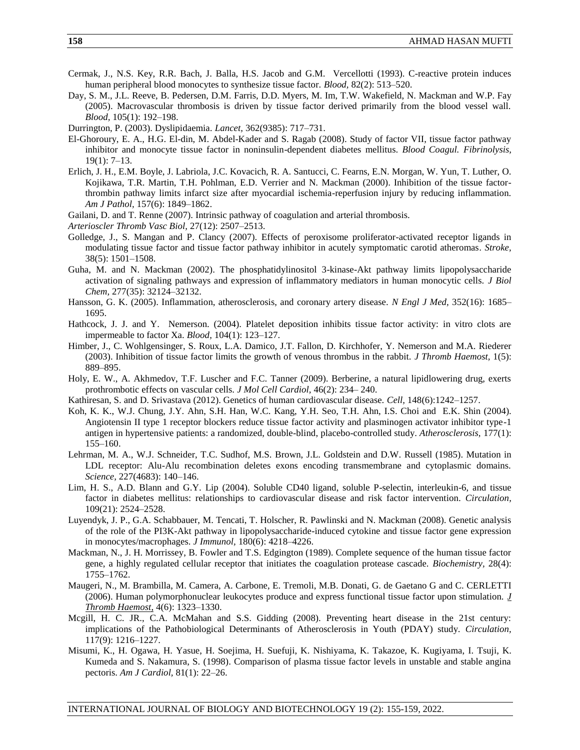- Cermak, J., N.S. Key, R.R. Bach, J. Balla, H.S. Jacob and G.M. Vercellotti (1993). C-reactive protein induces human peripheral blood monocytes to synthesize tissue factor. *Blood,* 82(2): 513–520.
- Day, S. M., J.L. Reeve, B. Pedersen, D.M. Farris, D.D. Myers, M. Im, T.W. Wakefield, N. Mackman and W.P. Fay (2005). Macrovascular thrombosis is driven by tissue factor derived primarily from the blood vessel wall. *Blood,* 105(1): 192–198.

Durrington, P. (2003). Dyslipidaemia*. Lancet,* 362(9385): 717–731.

- El-Ghoroury, E. A., H.G. El-din, M. Abdel-Kader and S. Ragab (2008). Study of factor VII, tissue factor pathway inhibitor and monocyte tissue factor in noninsulin-dependent diabetes mellitus. *Blood Coagul. Fibrinolysis,* 19(1): 7–13.
- Erlich, J. H., E.M. Boyle, J. Labriola, J.C. Kovacich, R. A. Santucci, C. Fearns, E.N. Morgan, W. Yun, T. Luther, O. Kojikawa, T.R. Martin, T.H. Pohlman, E.D. Verrier and N. Mackman (2000). Inhibition of the tissue factorthrombin pathway limits infarct size after myocardial ischemia-reperfusion injury by reducing inflammation. *Am J Pathol,* 157(6): 1849–1862.
- Gailani, D. and T. Renne (2007). Intrinsic pathway of coagulation and arterial thrombosis.
- *Arterioscler Thromb Vasc Biol,* 27(12): 2507–2513.
- Golledge, J., S. Mangan and P. Clancy (2007). Effects of peroxisome proliferator-activated receptor ligands in modulating tissue factor and tissue factor pathway inhibitor in acutely symptomatic carotid atheromas*. Stroke,* 38(5): 1501–1508.
- Guha, M. and N. Mackman (2002). The phosphatidylinositol 3-kinase-Akt pathway limits lipopolysaccharide activation of signaling pathways and expression of inflammatory mediators in human monocytic cells. *J Biol Chem,* 277(35): 32124–32132.
- Hansson, G. K. (2005). Inflammation, atherosclerosis, and coronary artery disease. *N Engl J Med,* 352(16): 1685– 1695.
- Hathcock, J. J. and Y. Nemerson. (2004). Platelet deposition inhibits tissue factor activity: in vitro clots are impermeable to factor Xa. *Blood,* 104(1): 123–127.
- Himber, J., C. Wohlgensinger, S. Roux, L.A. Damico, J.T. Fallon, D. Kirchhofer, Y. Nemerson and M.A. Riederer (2003). Inhibition of tissue factor limits the growth of venous thrombus in the rabbit. *J Thromb Haemost,* 1(5): 889–895.
- Holy, E. W., A. Akhmedov, T.F. Luscher and F.C. Tanner (2009). Berberine, a natural lipidlowering drug, exerts prothrombotic effects on vascular cells. *J Mol Cell Cardiol,* 46(2): 234– 240.
- Kathiresan, S. and D. Srivastava (2012). Genetics of human cardiovascular disease. *Cell,* 148(6):1242–1257.
- Koh, K. K., W.J. Chung, J.Y. Ahn, S.H. Han, W.C. Kang, Y.H. Seo, T.H. Ahn, I.S. Choi and E.K. Shin (2004). Angiotensin II type 1 receptor blockers reduce tissue factor activity and plasminogen activator inhibitor type-1 antigen in hypertensive patients: a randomized, double-blind, placebo-controlled study. *Atherosclerosis,* 177(1): 155–160.
- Lehrman, M. A., W.J. Schneider, T.C. Sudhof, M.S. Brown, J.L. Goldstein and D.W. Russell (1985). Mutation in LDL receptor: Alu-Alu recombination deletes exons encoding transmembrane and cytoplasmic domains. *Science,* 227(4683): 140–146.
- Lim, H. S., A.D. Blann and G.Y. Lip (2004). Soluble CD40 ligand, soluble P-selectin, interleukin-6, and tissue factor in diabetes mellitus: relationships to cardiovascular disease and risk factor intervention*. Circulation,* 109(21): 2524–2528.
- Luyendyk, J. P., G.A. Schabbauer, M. Tencati, T. Holscher, R. Pawlinski and N. Mackman (2008). Genetic analysis of the role of the PI3K-Akt pathway in lipopolysaccharide-induced cytokine and tissue factor gene expression in monocytes/macrophages. *J Immunol,* 180(6): 4218–4226.
- Mackman, N., J. H. Morrissey, B. Fowler and T.S. Edgington (1989). Complete sequence of the human tissue factor gene, a highly regulated cellular receptor that initiates the coagulation protease cascade. *Biochemistry,* 28(4): 1755–1762.
- Maugeri, N., M. Brambilla, M. Camera, A. Carbone, E. Tremoli, M.B. Donati, G. de Gaetano G and C. CERLETTI (2006). Human polymorphonuclear leukocytes produce and express functional tissue factor upon stimulation. *J Thromb Haemost*, 4(6): 1323–1330.
- Mcgill, H. C. JR., C.A. McMahan and S.S. Gidding (2008). Preventing heart disease in the 21st century: implications of the Pathobiological Determinants of Atherosclerosis in Youth (PDAY) study. *Circulation,* 117(9): 1216–1227.
- Misumi, K., H. Ogawa, H. Yasue, H. Soejima, H. Suefuji, K. Nishiyama, K. Takazoe, K. Kugiyama, I. Tsuji, K. Kumeda and S. Nakamura, S. (1998). Comparison of plasma tissue factor levels in unstable and stable angina pectoris. *Am J Cardiol,* 81(1): 22–26.